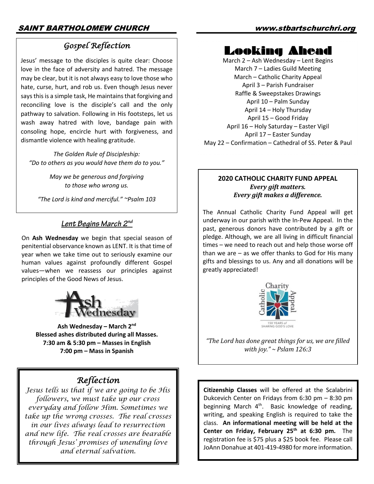### *Gospel Reflection*

Jesus' message to the disciples is quite clear: Choose love in the face of adversity and hatred. The message may be clear, but it is not always easy to love those who hate, curse, hurt, and rob us. Even though Jesus never says this is a simple task, He maintains that forgiving and reconciling love is the disciple's call and the only pathway to salvation. Following in His footsteps, let us wash away hatred with love, bandage pain with consoling hope, encircle hurt with forgiveness, and dismantle violence with healing gratitude.

*The Golden Rule of Discipleship: "Do to others as you would have them do to you."*

> *May we be generous and forgiving to those who wrong us.*

*"The Lord is kind and merciful." ~Psalm 103*

#### *Lent Begins March 2nd*

On **Ash Wednesday** we begin that special season of penitential observance known as LENT. It is that time of year when we take time out to seriously examine our human values against profoundly different Gospel values—when we reassess our principles against principles of the Good News of Jesus.



**Ash Wednesday – March 2nd Blessed ashes distributed during all Masses. 7:30 am & 5:30 pm – Masses in English 7:00 pm – Mass in Spanish**

## *Reflection*

*Jesus tells us that if we are going to be His followers, we must take up our cross everyday and follow Him. Sometimes we take up the wrong crosses. The real crosses in our lives always lead to resurrection and new life. The real crosses are bearable through Jesus' promises of unending love and eternal salvation.*

### Looking Ahead

March 2 – Ash Wednesday – Lent Begins March 7 – Ladies Guild Meeting March – Catholic Charity Appeal April 3 – Parish Fundraiser Raffle & Sweepstakes Drawings April 10 – Palm Sunday April 14 – Holy Thursday April 15 – Good Friday April 16 – Holy Saturday – Easter Vigil April 17 – Easter Sunday May 22 – Confirmation – Cathedral of SS. Peter & Paul

#### **2020 CATHOLIC CHARITY FUND APPEAL** *Every gift matters. Every gift makes a difference.*

The Annual Catholic Charity Fund Appeal will get underway in our parish with the In-Pew Appeal. In the past, generous donors have contributed by a gift or pledge. Although, we are all living in difficult financial times – we need to reach out and help those worse off than we are – as we offer thanks to God for His many gifts and blessings to us. Any and all donations will be greatly appreciated!



"The Lord has done great things for us, we are filled *with joy." ~ Pslam 126:3* 

**Citizenship Classes** will be offered at the Scalabrini Dukcevich Center on Fridays from 6:30 pm – 8:30 pm beginning March  $4<sup>th</sup>$ . Basic knowledge of reading, writing, and speaking English is required to take the class. **An informational meeting will be held at the Center on Friday, February 25th at 6:30 pm.** The registration fee is \$75 plus a \$25 book fee. Please call JoAnn Donahue at 401-419-4980 for more information.